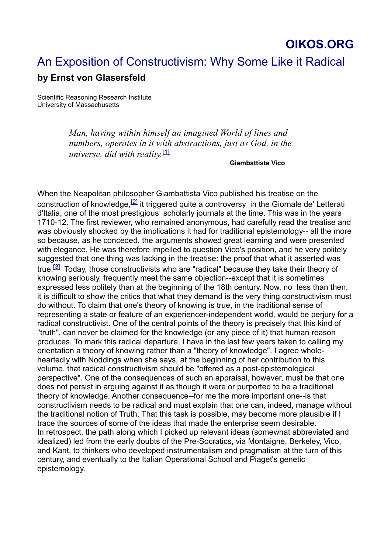# **OIKOS.ORG**

# An Exposition of Constructivism: Why Some Like it Radical

# **by Ernst von Glasersfeld**

Scientific Reasoning Research Institute University of Massachusetts

> *Man, having within himself an imagined World of lines and numbers, operates in it with abstractions, just as God, in the universe, did with reality.*[\[1\]](http://www.oikos.org/constructivism.htm#note1)

> > **Giambattista Vico**

When the Neapolitan philosopher Giambattista Vico published his treatise on the construction of knowledge,<sup>[\[2\]](http://www.oikos.org/constructivism.htm#note2)</sup> it triggered quite a controversy in the Giornale de' Letterati d'Italia, one of the most prestigious scholarly journals at the time. This was in the years 1710-12. The first reviewer, who remained anonymous, had carefully read the treatise and was obviously shocked by the implications it had for traditional epistemology-- all the more so because, as he conceded, the arguments showed great learning and were presented with elegance. He was therefore impelled to question Vico's position, and he very politely suggested that one thing was lacking in the treatise: the proof that what it asserted was true.<sup>[\[3\]](http://www.oikos.org/constructivism.htm#note3)</sup> Today, those constructivists who are "radical" because they take their theory of knowing seriously, frequently meet the same objection--except that it is sometimes expressed less politely than at the beginning of the 18th century. Now, no less than then, it is difficult to show the critics that what they demand is the very thing constructivism must do without. To claim that one's theory of knowing is true, in the traditional sense of representing a state or feature of an experiencer-independent world, would be perjury for a radical constructivist. One of the central points of the theory is precisely that this kind of "truth", can never be claimed for the knowledge (or any piece of it) that human reason produces. To mark this radical departure, I have in the last few years taken to calling my orientation a theory of knowing rather than a "theory of knowledge". I agree wholeheartedly with Noddings when she says, at the beginning of her contribution to this volume, that radical constructivism should be "offered as a post-epistemological perspective". One of the consequences of such an appraisal, however, must be that one does not persist in arguing against it as though it were or purported to be a traditional theory of knowledge. Another consequence--for me the more important one--is that constructivism needs to be radical and must explain that one can, indeed, manage without the traditional notion of Truth. That this task is possible, may become more plausible if I trace the sources of some of the ideas that made the enterprise seem desirable. In retrospect, the path along which I picked up relevant ideas (somewhat abbreviated and idealized) led from the early doubts of the Pre-Socratics, via Montaigne, Berkeley, Vico, and Kant, to thinkers who developed instrumentalism and pragmatism at the turn of this century, and eventually to the Italian Operational School and Piaget's genetic epistemology.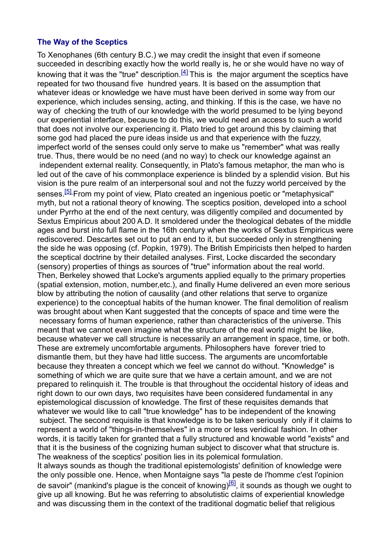#### **The Way of the Sceptics**

To Xenophanes (6th century B.C.) we may credit the insight that even if someone succeeded in describing exactly how the world really is, he or she would have no way of knowing that it was the "true" description.<sup>[\[4\]](http://www.oikos.org/constructivism.htm#note4)</sup> This is the major argument the sceptics have repeated for two thousand five hundred years. It is based on the assumption that whatever ideas or knowledge we have must have been derived in some way from our experience, which includes sensing, acting, and thinking. If this is the case, we have no way of checking the truth of our knowledge with the world presumed to be lying beyond our experiential interface, because to do this, we would need an access to such a world that does not involve our experiencing it. Plato tried to get around this by claiming that some god had placed the pure ideas inside us and that experience with the fuzzy, imperfect world of the senses could only serve to make us "remember" what was really true. Thus, there would be no need (and no way) to check our knowledge against an independent external reality. Consequently, in Plato's famous metaphor, the man who is led out of the cave of his commonplace experience is blinded by a splendid vision. But his vision is the pure realm of an interpersonal soul and not the fuzzy world perceived by the senses.<sup>[\[5\]](http://www.oikos.org/constructivism.htm#note5)</sup> From my point of view, Plato created an ingenious poetic or "metaphysical" myth, but not a rational theory of knowing. The sceptics position, developed into a school under Pyrrho at the end of the next century, was diligently compiled and documented by Sextus Empiricus about 200 A.D. It smoldered under the theological debates of the middle ages and burst into full flame in the 16th century when the works of Sextus Empiricus were rediscovered. Descartes set out to put an end to it, but succeeded only in strengthening the side he was opposing (cf. Popkin, 1979). The British Empiricists then helped to harden the sceptical doctrine by their detailed analyses. First, Locke discarded the secondary (sensory) properties of things as sources of "true" information about the real world. Then, Berkeley showed that Locke's arguments applied equally to the primary properties (spatial extension, motion, number,etc.), and finally Hume delivered an even more serious blow by attributing the notion of causality (and other relations that serve to organize experience) to the conceptual habits of the human knower. The final demolition of realism was brought about when Kant suggested that the concepts of space and time were the necessary forms of human experience, rather than characteristics of the universe. This meant that we cannot even imagine what the structure of the real world might be like, because whatever we call structure is necessarily an arrangement in space, time, or both. These are extremely uncomfortable arguments. Philosophers have forever tried to dismantle them, but they have had little success. The arguments are uncomfortable because they threaten a concept which we feel we cannot do without. "Knowledge" is something of which we are quite sure that we have a certain amount, and we are not prepared to relinquish it. The trouble is that throughout the occidental history of ideas and right down to our own days, two requisites have been considered fundamental in any epistemological discussion of knowledge. The first of these requisites demands that whatever we would like to call "true knowledge" has to be independent of the knowing subject. The second requisite is that knowledge is to be taken seriously only if it claims to represent a world of "things-in-themselves" in a more or less veridical fashion. In other words, it is tacitly taken for granted that a fully structured and knowable world "exists" and that it is the business of the cognizing human subject to discover what that structure is. The weakness of the sceptics' position lies in its polemical formulation.

It always sounds as though the traditional epistemologists' definition of knowledge were the only possible one. Hence, when Montaigne says "la peste de l'homme c'est l'opinion de savoir" (mankind's plague is the conceit of knowing)<sup>[\[6\]](http://www.oikos.org/constructivism.htm#note6)</sup>, it sounds as though we ought to give up all knowing. But he was referring to absolutistic claims of experiential knowledge and was discussing them in the context of the traditional dogmatic belief that religious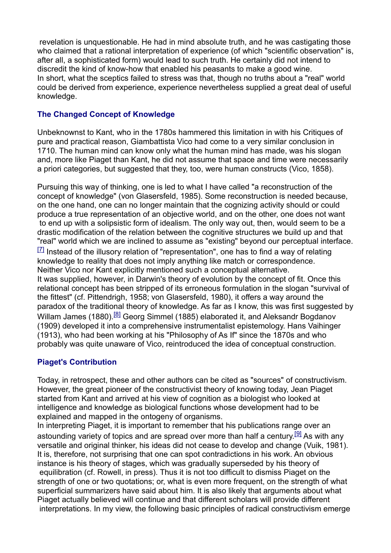revelation is unquestionable. He had in mind absolute truth, and he was castigating those who claimed that a rational interpretation of experience (of which "scientific observation" is, after all, a sophisticated form) would lead to such truth. He certainly did not intend to discredit the kind of know-how that enabled his peasants to make a good wine. In short, what the sceptics failed to stress was that, though no truths about a "real" world could be derived from experience, experience nevertheless supplied a great deal of useful knowledge.

# **The Changed Concept of Knowledge**

Unbeknownst to Kant, who in the 1780s hammered this limitation in with his Critiques of pure and practical reason, Giambattista Vico had come to a very similar conclusion in 1710. The human mind can know only what the human mind has made, was his slogan and, more like Piaget than Kant, he did not assume that space and time were necessarily a priori categories, but suggested that they, too, were human constructs (Vico, 1858).

Pursuing this way of thinking, one is led to what I have called "a reconstruction of the concept of knowledge" (von Glasersfeld, 1985). Some reconstruction is needed because, on the one hand, one can no longer maintain that the cognizing activity should or could produce a true representation of an objective world, and on the other, one does not want to end up with a solipsistic form of idealism. The only way out, then, would seem to be a drastic modification of the relation between the cognitive structures we build up and that "real" world which we are inclined to assume as "existing" beyond our perceptual interface.  $^{[7]}$  $^{[7]}$  $^{[7]}$  Instead of the illusory relation of "representation", one has to find a way of relating knowledge to reality that does not imply anything like match or correspondence. Neither Vico nor Kant explicitly mentioned such a conceptual alternative. It was supplied, however, in Darwin's theory of evolution by the concept of fit. Once this relational concept has been stripped of its erroneous formulation in the slogan "survival of the fittest" (cf. Pittendrigh, 1958; von Glasersfeld, 1980), it offers a way around the paradox of the traditional theory of knowledge. As far as I know, this was first suggested by Willam James (1880).<sup>[\[8\]](http://www.oikos.org/constructivism.htm#note8)</sup> Georg Simmel (1885) elaborated it, and Aleksandr Bogdanov (1909) developed it into a comprehensive instrumentalist epistemology. Hans Vaihinger (1913), who had been working at his "Philosophy of As If" since the 1870s and who probably was quite unaware of Vico, reintroduced the idea of conceptual construction.

## **Piaget's Contribution**

Today, in retrospect, these and other authors can be cited as "sources" of constructivism. However, the great pioneer of the constructivist theory of knowing today, Jean Piaget started from Kant and arrived at his view of cognition as a biologist who looked at intelligence and knowledge as biological functions whose development had to be explained and mapped in the ontogeny of organisms.

In interpreting Piaget, it is important to remember that his publications range over an astounding variety of topics and are spread over more than half a century.<sup>[\[9\]](http://www.oikos.org/constructivism.htm#note9)</sup> As with any versatile and original thinker, his ideas did not cease to develop and change (Vuik, 1981). It is, therefore, not surprising that one can spot contradictions in his work. An obvious instance is his theory of stages, which was gradually superseded by his theory of equilibration (cf. Rowell, in press). Thus it is not too difficult to dismiss Piaget on the strength of one or two quotations; or, what is even more frequent, on the strength of what superficial summarizers have said about him. It is also likely that arguments about what Piaget actually believed will continue and that different scholars will provide different interpretations. In my view, the following basic principles of radical constructivism emerge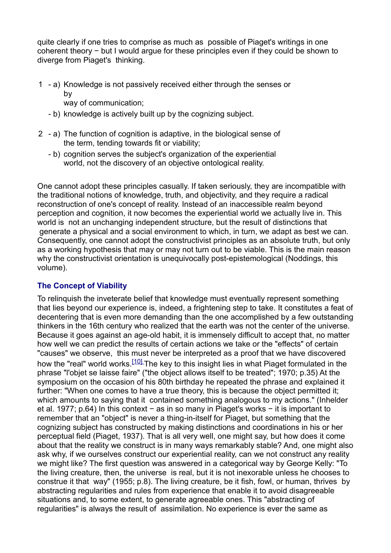quite clearly if one tries to comprise as much as possible of Piaget's writings in one coherent theory − but I would argue for these principles even if they could be shown to diverge from Piaget's thinking.

1 - a) Knowledge is not passively received either through the senses or by

way of communication;

- b) knowledge is actively built up by the cognizing subject.
- 2 a) The function of cognition is adaptive, in the biological sense of the term, tending towards fit or viability;
	- b) cognition serves the subject's organization of the experiential world, not the discovery of an objective ontological reality.

One cannot adopt these principles casually. If taken seriously, they are incompatible with the traditional notions of knowledge, truth, and objectivity, and they require a radical reconstruction of one's concept of reality. Instead of an inaccessible realm beyond perception and cognition, it now becomes the experiential world we actually live in. This world is not an unchanging independent structure, but the result of distinctions that generate a physical and a social environment to which, in turn, we adapt as best we can. Consequently, one cannot adopt the constructivist principles as an absolute truth, but only as a working hypothesis that may or may not turn out to be viable. This is the main reason why the constructivist orientation is unequivocally post-epistemological (Noddings, this volume).

# **The Concept of Viability**

To relinquish the inveterate belief that knowledge must eventually represent something that lies beyond our experience is, indeed, a frightening step to take. It constitutes a feat of decentering that is even more demanding than the one accomplished by a few outstanding thinkers in the 16th century who realized that the earth was not the center of the universe. Because it goes against an age-old habit, it is immensely difficult to accept that, no matter how well we can predict the results of certain actions we take or the "effects" of certain "causes" we observe, this must never be interpreted as a proof that we have discovered how the "real" world works.<sup>[10]</sup> The key to this insight lies in what Piaget formulated in the phrase "l'objet se laisse faire" ("the object allows itself to be treated"; 1970; p.35) At the symposium on the occasion of his 80th birthday he repeated the phrase and explained it further: "When one comes to have a true theory, this is because the object permitted it; which amounts to saying that it contained something analogous to my actions." (Inhelder et al. 1977; p.64) In this context − as in so many in Piaget's works − it is important to remember that an "object" is never a thing-in-itself for Piaget, but something that the cognizing subject has constructed by making distinctions and coordinations in his or her perceptual field (Piaget, 1937). That is all very well, one might say, but how does it come about that the reality we construct is in many ways remarkably stable? And, one might also ask why, if we ourselves construct our experiential reality, can we not construct any reality we might like? The first question was answered in a categorical way by George Kelly: "To the living creature, then, the universe is real, but it is not inexorable unless he chooses to construe it that way" (1955; p.8). The living creature, be it fish, fowl, or human, thrives by abstracting regularities and rules from experience that enable it to avoid disagreeable situations and, to some extent, to generate agreeable ones. This "abstracting of regularities" is always the result of assimilation. No experience is ever the same as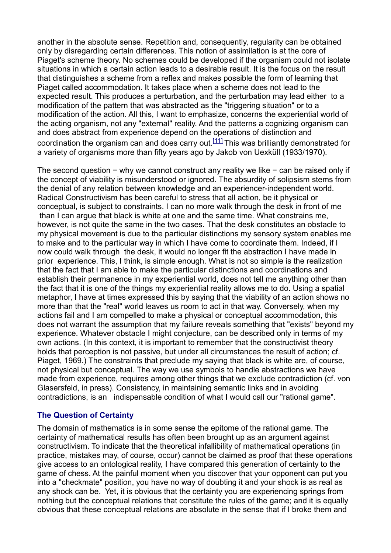another in the absolute sense. Repetition and, consequently, regularity can be obtained only by disregarding certain differences. This notion of assimilation is at the core of Piaget's scheme theory. No schemes could be developed if the organism could not isolate situations in which a certain action leads to a desirable result. It is the focus on the result that distinguishes a scheme from a reflex and makes possible the form of learning that Piaget called accommodation. It takes place when a scheme does not lead to the expected result. This produces a perturbation, and the perturbation may lead either to a modification of the pattern that was abstracted as the "triggering situation" or to a modification of the action. All this, I want to emphasize, concerns the experiential world of the acting organism, not any "external" reality. And the patterns a cognizing organism can and does abstract from experience depend on the operations of distinction and coordination the organism can and does carry out.<sup>[\[11\]](http://www.oikos.org/constructivism.htm#note11)</sup> This was brilliantly demonstrated for a variety of organisms more than fifty years ago by Jakob von Uexküll (1933/1970).

The second question − why we cannot construct any reality we like − can be raised only if the concept of viability is misunderstood or ignored. The absurdity of solipsism stems from the denial of any relation between knowledge and an experiencer-independent world. Radical Constructivism has been careful to stress that all action, be it physical or conceptual, is subject to constraints. I can no more walk through the desk in front of me than I can argue that black is white at one and the same time. What constrains me, however, is not quite the same in the two cases. That the desk constitutes an obstacle to my physical movement is due to the particular distinctions my sensory system enables me to make and to the particular way in which I have come to coordinate them. Indeed, if I now could walk through the desk, it would no longer fit the abstraction I have made in prior experience. This, I think, is simple enough. What is not so simple is the realization that the fact that I am able to make the particular distinctions and coordinations and establish their permanence in my experiential world, does not tell me anything other than the fact that it is one of the things my experiential reality allows me to do. Using a spatial metaphor, I have at times expressed this by saying that the viability of an action shows no more than that the "real" world leaves us room to act in that way. Conversely, when my actions fail and I am compelled to make a physical or conceptual accommodation, this does not warrant the assumption that my failure reveals something that "exists" beyond my experience. Whatever obstacle I might conjecture, can be described only in terms of my own actions. (In this context, it is important to remember that the constructivist theory holds that perception is not passive, but under all circumstances the result of action; cf. Piaget, 1969.) The constraints that preclude my saying that black is white are, of course, not physical but conceptual. The way we use symbols to handle abstractions we have made from experience, requires among other things that we exclude contradiction (cf. von Glasersfeld, in press). Consistency, in maintaining semantic links and in avoiding contradictions, is an indispensable condition of what I would call our "rational game".

## **The Question of Certainty**

The domain of mathematics is in some sense the epitome of the rational game. The certainty of mathematical results has often been brought up as an argument against constructivism. To indicate that the theoretical infallibility of mathematical operations (in practice, mistakes may, of course, occur) cannot be claimed as proof that these operations give access to an ontological reality, I have compared this generation of certainty to the game of chess. At the painful moment when you discover that your opponent can put you into a "checkmate" position, you have no way of doubting it and your shock is as real as any shock can be. Yet, it is obvious that the certainty you are experiencing springs from nothing but the conceptual relations that constitute the rules of the game; and it is equally obvious that these conceptual relations are absolute in the sense that if I broke them and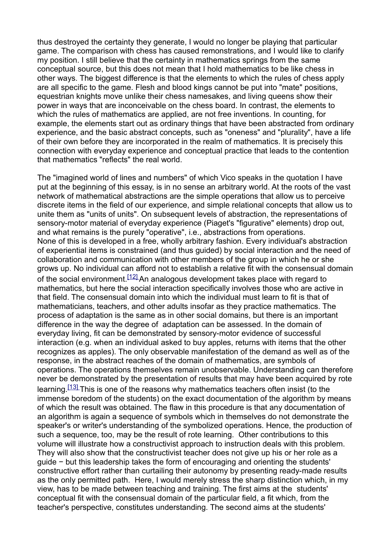thus destroyed the certainty they generate, I would no longer be playing that particular game. The comparison with chess has caused remonstrations, and I would like to clarify my position. I still believe that the certainty in mathematics springs from the same conceptual source, but this does not mean that I hold mathematics to be like chess in other ways. The biggest difference is that the elements to which the rules of chess apply are all specific to the game. Flesh and blood kings cannot be put into "mate" positions, equestrian knights move unlike their chess namesakes, and living queens show their power in ways that are inconceivable on the chess board. In contrast, the elements to which the rules of mathematics are applied, are not free inventions. In counting, for example, the elements start out as ordinary things that have been abstracted from ordinary experience, and the basic abstract concepts, such as "oneness" and "plurality", have a life of their own before they are incorporated in the realm of mathematics. It is precisely this connection with everyday experience and conceptual practice that leads to the contention that mathematics "reflects" the real world.

The "imagined world of lines and numbers" of which Vico speaks in the quotation I have put at the beginning of this essay, is in no sense an arbitrary world. At the roots of the vast network of mathematical abstractions are the simple operations that allow us to perceive discrete items in the field of our experience, and simple relational concepts that allow us to unite them as "units of units". On subsequent levels of abstraction, the representations of sensory-motor material of everyday experience (Piaget's "figurative" elements) drop out, and what remains is the purely "operative", i.e., abstractions from operations. None of this is developed in a free, wholly arbitrary fashion. Every individual's abstraction of experiential items is constrained (and thus guided) by social interaction and the need of collaboration and communication with other members of the group in which he or she grows up. No individual can afford not to establish a relative fit with the consensual domain of the social environment.  $[12]$  An analogous development takes place with regard to mathematics, but here the social interaction specifically involves those who are active in that field. The consensual domain into which the individual must learn to fit is that of mathematicians, teachers, and other adults insofar as they practice mathematics. The process of adaptation is the same as in other social domains, but there is an important difference in the way the degree of adaptation can be assessed. In the domain of everyday living, fit can be demonstrated by sensory-motor evidence of successful interaction (e.g. when an individual asked to buy apples, returns with items that the other recognizes as apples). The only observable manifestation of the demand as well as of the response, in the abstract reaches of the domain of mathematics, are symbols of operations. The operations themselves remain unobservable. Understanding can therefore never be demonstrated by the presentation of results that may have been acquired by rote learning.<sup>[13]</sup> This is one of the reasons why mathematics teachers often insist (to the immense boredom of the students) on the exact documentation of the algorithm by means of which the result was obtained. The flaw in this procedure is that any documentation of an algorithm is again a sequence of symbols which in themselves do not demonstrate the speaker's or writer's understanding of the symbolized operations. Hence, the production of such a sequence, too, may be the result of rote learning. Other contributions to this volume will illustrate how a constructivist approach to instruction deals with this problem. They will also show that the constructivist teacher does not give up his or her role as a guide − but this leadership takes the form of encouraging and orienting the students' constructive effort rather than curtailing their autonomy by presenting ready-made results as the only permitted path. Here, I would merely stress the sharp distinction which, in my view, has to be made between teaching and training. The first aims at the students' conceptual fit with the consensual domain of the particular field, a fit which, from the teacher's perspective, constitutes understanding. The second aims at the students'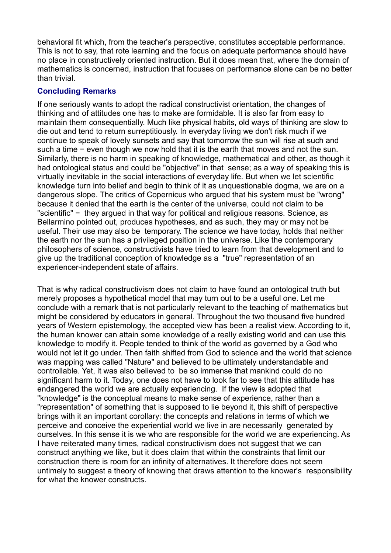behavioral fit which, from the teacher's perspective, constitutes acceptable performance. This is not to say, that rote learning and the focus on adequate performance should have no place in constructively oriented instruction. But it does mean that, where the domain of mathematics is concerned, instruction that focuses on performance alone can be no better than trivial.

### **Concluding Remarks**

If one seriously wants to adopt the radical constructivist orientation, the changes of thinking and of attitudes one has to make are formidable. It is also far from easy to maintain them consequentially. Much like physical habits, old ways of thinking are slow to die out and tend to return surreptitiously. In everyday living we don't risk much if we continue to speak of lovely sunsets and say that tomorrow the sun will rise at such and such a time – even though we now hold that it is the earth that moves and not the sun. Similarly, there is no harm in speaking of knowledge, mathematical and other, as though it had ontological status and could be "objective" in that sense; as a way of speaking this is virtually inevitable in the social interactions of everyday life. But when we let scientific knowledge turn into belief and begin to think of it as unquestionable dogma, we are on a dangerous slope. The critics of Copernicus who argued that his system must be "wrong" because it denied that the earth is the center of the universe, could not claim to be "scientific" − they argued in that way for political and religious reasons. Science, as Bellarmino pointed out, produces hypotheses, and as such, they may or may not be useful. Their use may also be temporary. The science we have today, holds that neither the earth nor the sun has a privileged position in the universe. Like the contemporary philosophers of science, constructivists have tried to learn from that development and to give up the traditional conception of knowledge as a "true" representation of an experiencer-independent state of affairs.

That is why radical constructivism does not claim to have found an ontological truth but merely proposes a hypothetical model that may turn out to be a useful one. Let me conclude with a remark that is not particularly relevant to the teaching of mathematics but might be considered by educators in general. Throughout the two thousand five hundred years of Western epistemology, the accepted view has been a realist view. According to it, the human knower can attain some knowledge of a really existing world and can use this knowledge to modify it. People tended to think of the world as governed by a God who would not let it go under. Then faith shifted from God to science and the world that science was mapping was called "Nature" and believed to be ultimately understandable and controllable. Yet, it was also believed to be so immense that mankind could do no significant harm to it. Today, one does not have to look far to see that this attitude has endangered the world we are actually experiencing. If the view is adopted that "knowledge" is the conceptual means to make sense of experience, rather than a "representation" of something that is supposed to lie beyond it, this shift of perspective brings with it an important corollary: the concepts and relations in terms of which we perceive and conceive the experiential world we live in are necessarily generated by ourselves. In this sense it is we who are responsible for the world we are experiencing. As I have reiterated many times, radical constructivism does not suggest that we can construct anything we like, but it does claim that within the constraints that limit our construction there is room for an infinity of alternatives. It therefore does not seem untimely to suggest a theory of knowing that draws attention to the knower's responsibility for what the knower constructs.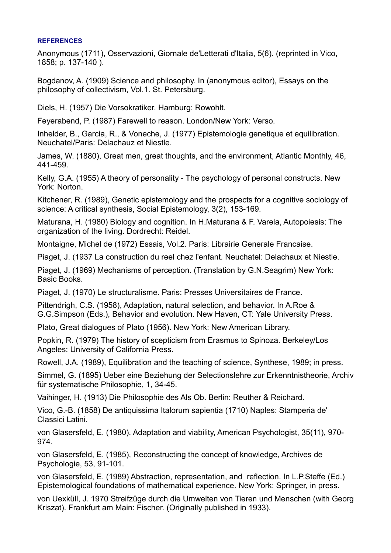#### **REFERENCES**

Anonymous (1711), Osservazioni, Giornale de'Letterati d'Italia, 5(6). (reprinted in Vico, 1858; p. 137-140 ).

Bogdanov, A. (1909) Science and philosophy. In (anonymous editor), Essays on the philosophy of collectivism, Vol.1. St. Petersburg.

Diels, H. (1957) Die Vorsokratiker. Hamburg: Rowohlt.

Feyerabend, P. (1987) Farewell to reason. London/New York: Verso.

Inhelder, B., Garcia, R., & Voneche, J. (1977) Epistemologie genetique et equilibration. Neuchatel/Paris: Delachauz et Niestle.

James, W. (1880), Great men, great thoughts, and the environment, Atlantic Monthly, 46, 441-459.

Kelly, G.A. (1955) A theory of personality - The psychology of personal constructs. New York: Norton.

Kitchener, R. (1989), Genetic epistemology and the prospects for a cognitive sociology of science: A critical synthesis, Social Epistemology, 3(2), 153-169.

Maturana, H. (1980) Biology and cognition. In H.Maturana & F. Varela, Autopoiesis: The organization of the living. Dordrecht: Reidel.

Montaigne, Michel de (1972) Essais, Vol.2. Paris: Librairie Generale Francaise.

Piaget, J. (1937 La construction du reel chez l'enfant. Neuchatel: Delachaux et Niestle.

Piaget, J. (1969) Mechanisms of perception. (Translation by G.N.Seagrim) New York: Basic Books.

Piaget, J. (1970) Le structuralisme. Paris: Presses Universitaires de France.

Pittendrigh, C.S. (1958), Adaptation, natural selection, and behavior. In A.Roe & G.G.Simpson (Eds.), Behavior and evolution. New Haven, CT: Yale University Press.

Plato, Great dialogues of Plato (1956). New York: New American Library.

Popkin, R. (1979) The history of scepticism from Erasmus to Spinoza. Berkeley/Los Angeles: University of California Press.

Rowell, J.A. (1989), Equilibration and the teaching of science, Synthese, 1989; in press.

Simmel, G. (1895) Ueber eine Beziehung der Selectionslehre zur Erkenntnistheorie, Archiv für systematische Philosophie, 1, 34-45.

Vaihinger, H. (1913) Die Philosophie des Als Ob. Berlin: Reuther & Reichard.

Vico, G.-B. (1858) De antiquissima Italorum sapientia (1710) Naples: Stamperia de' Classici Latini.

von Glasersfeld, E. (1980), Adaptation and viability, American Psychologist, 35(11), 970- 974.

von Glasersfeld, E. (1985), Reconstructing the concept of knowledge, Archives de Psychologie, 53, 91-101.

von Glasersfeld, E. (1989) Abstraction, representation, and reflection. In L.P.Steffe (Ed.) Epistemological foundations of mathematical experience. New York: Springer, in press.

von Uexküll, J. 1970 Streifzüge durch die Umwelten von Tieren und Menschen (with Georg Kriszat). Frankfurt am Main: Fischer. (Originally published in 1933).